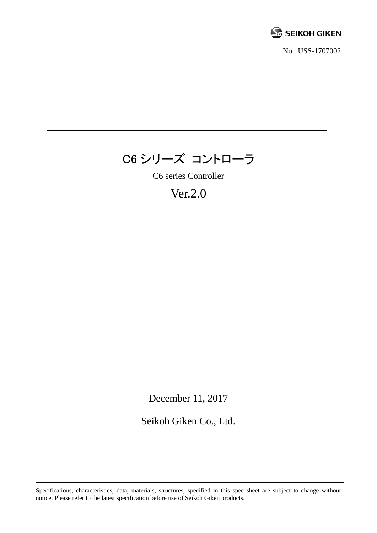

No.:USS-1707002

# C6 シリーズ コントローラ

C6 series Controller

## Ver.2.0

December 11, 2017

Seikoh Giken Co., Ltd.

Specifications, characteristics, data, materials, structures, specified in this spec sheet are subject to change without notice. Please refer to the latest specification before use of Seikoh Giken products.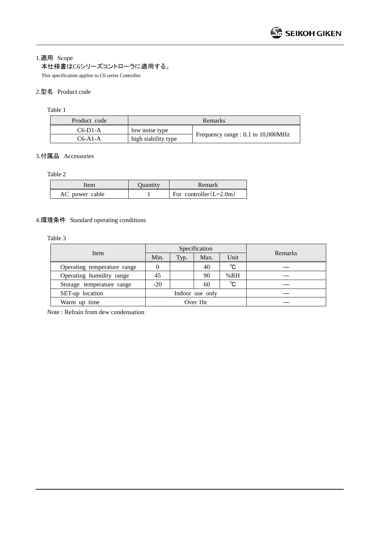1.適用 Scope

本仕様書はC6シリーズコントローラに適用する。

This specification applies to C6 series Controller.

#### 2.型名 Product code

Table 1

| Product code |                     | Remarks                            |
|--------------|---------------------|------------------------------------|
| $C6-D1-A$    | low noise type      |                                    |
| $C6-A1-A$    | high stability type | Frequency range : 0.1 to 10,000MHz |

#### 3.付属品 Accessories

Table 2

| tem            | Ouantity | Remark                    |
|----------------|----------|---------------------------|
| AC power cable |          | For controller $(L=2.0m)$ |

#### 4.環境条件 Standard operating conditions

Table 3

|                             | Specification |      |                 |              | Remarks |
|-----------------------------|---------------|------|-----------------|--------------|---------|
| Item                        | Min.          | Typ. | Max.            | Unit         |         |
| Operating temperature range |               |      | 40              | $^{\circ}$ C |         |
| Operating humidity range    | 45            |      | 90              | %RH          |         |
| Storage temperature range   | $-20$         |      | 60              | $^{\circ}$ C |         |
| SET-up location             |               |      | Indoor use only |              |         |
| Warm up time                |               |      | Over 1hr        |              |         |

Note : Refrain from dew condensation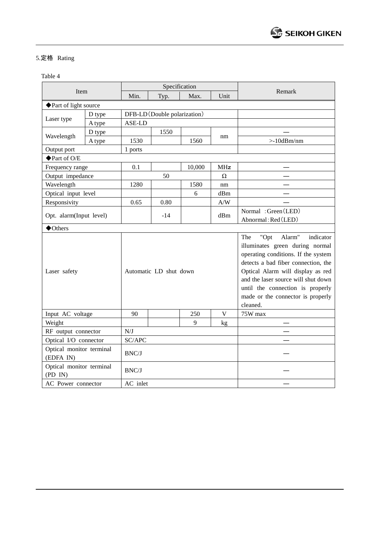### 5.定格 Rating

Table 4

|                                       |        |          |                              | Specification |                         |                                                                                                                                                                                                                                                                                                                      |
|---------------------------------------|--------|----------|------------------------------|---------------|-------------------------|----------------------------------------------------------------------------------------------------------------------------------------------------------------------------------------------------------------------------------------------------------------------------------------------------------------------|
| Item                                  |        | Min.     | Typ.                         | Max.          | Unit                    | Remark                                                                                                                                                                                                                                                                                                               |
| ◆ Part of light source                |        |          |                              |               |                         |                                                                                                                                                                                                                                                                                                                      |
|                                       | D type |          | DFB-LD (Double polarization) |               |                         |                                                                                                                                                                                                                                                                                                                      |
| Laser type                            | A type | ASE-LD   |                              |               |                         |                                                                                                                                                                                                                                                                                                                      |
| Wavelength                            | D type |          | 1550                         |               |                         |                                                                                                                                                                                                                                                                                                                      |
|                                       | A type | 1530     |                              | 1560          | nm                      | $>10$ d $Bm/nm$                                                                                                                                                                                                                                                                                                      |
| Output port                           |        | 1 ports  |                              |               |                         |                                                                                                                                                                                                                                                                                                                      |
| ◆ Part of O/E                         |        |          |                              |               |                         |                                                                                                                                                                                                                                                                                                                      |
| Frequency range                       |        | 0.1      |                              | 10,000        | MHz                     |                                                                                                                                                                                                                                                                                                                      |
| Output impedance                      |        |          | 50                           |               | Ω                       |                                                                                                                                                                                                                                                                                                                      |
| Wavelength                            |        | 1280     |                              | 1580          | nm                      |                                                                                                                                                                                                                                                                                                                      |
| Optical input level                   |        |          |                              | 6             | dBm                     |                                                                                                                                                                                                                                                                                                                      |
| Responsivity                          |        | 0.65     | 0.80                         |               | $\mathbf{A}/\mathbf{W}$ |                                                                                                                                                                                                                                                                                                                      |
| Opt. alarm(Input level)               |        |          | $-14$                        |               | dBm                     | Normal: Green (LED)<br>Abnormal: Red (LED)                                                                                                                                                                                                                                                                           |
| ◆Others                               |        |          |                              |               |                         |                                                                                                                                                                                                                                                                                                                      |
| Laser safety                          |        |          | Automatic LD shut down       |               |                         | Alarm"<br>The<br>"Opt<br>indicator<br>illuminates green during normal<br>operating conditions. If the system<br>detects a bad fiber connection, the<br>Optical Alarm will display as red<br>and the laser source will shut down<br>until the connection is properly<br>made or the connector is properly<br>cleaned. |
| Input AC voltage                      |        | 90       |                              | 250           | V                       | 75W max                                                                                                                                                                                                                                                                                                              |
| Weight                                |        |          |                              | 9             | kg                      |                                                                                                                                                                                                                                                                                                                      |
| RF output connector                   |        | N/J      |                              |               |                         |                                                                                                                                                                                                                                                                                                                      |
| Optical I/O connector                 |        | SC/APC   |                              |               |                         |                                                                                                                                                                                                                                                                                                                      |
| Optical monitor terminal<br>(EDFA IN) |        | BNC/J    |                              |               |                         |                                                                                                                                                                                                                                                                                                                      |
| Optical monitor terminal<br>(PD IN)   |        | BNC/J    |                              |               |                         |                                                                                                                                                                                                                                                                                                                      |
| AC Power connector                    |        | AC inlet |                              |               |                         |                                                                                                                                                                                                                                                                                                                      |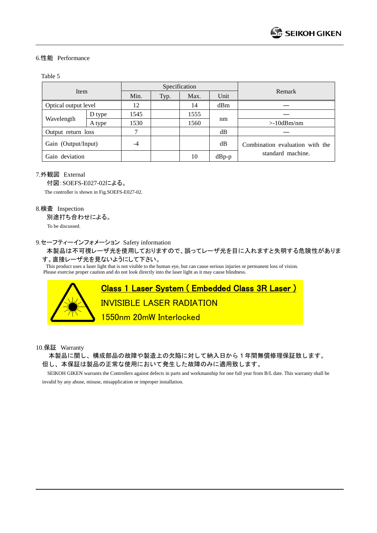#### 6.性能 Performance

#### Table 5

|                      |        |      |      | Specification |         | Remark                          |
|----------------------|--------|------|------|---------------|---------|---------------------------------|
| Item                 |        | Min. | Typ. | Max.          | Unit    |                                 |
| Optical output level |        | 12   |      | 14            | dBm     |                                 |
|                      | D type | 1545 |      | 1555          |         |                                 |
| Wavelength           | A type | 1530 |      | 1560          | nm      | $>10$ dBm/nm                    |
| Output return loss   |        | ┑    |      |               | dB      |                                 |
| Gain (Output/Input)  |        | -4   |      |               | dB      | Combination evaluation with the |
| Gain deviation       |        |      |      | 10            | $dBp-p$ | standard machine.               |

#### 7.外観図 External

付図:SOEFS-E027-02による。 The controller is shown in Fig.SOEFS-E027-02.

#### 8.検査 Inspection

別途打ち合わせによる。

To be discussed.

#### 9.セーフティーインフォメーション Safety information

 本製品は不可視レーザ光を使用しておりますので、誤ってレーザ光を目に入れますと失明する危険性がありま す。直接レーザ光を見ないようにして下さい。

This product uses a laser light that is not visible to the human eye, but can cause serious injuries or permanent loss of vision. Please exercise proper caution and do not look directly into the laser light as it may cause blindness.



10.保証 Warranty

本製品に関し、構成部品の故障や製造上の欠陥に対して納入日から1年間無償修理保証致します。 但し、本保証は製品の正常な使用において発生した故障のみに適用致します。

 SEIKOH GIKEN warrants the Controllers against defects in parts and workmanship for one full year from B/L date. This warranty shall be invalid by any abuse, misuse, misapplication or improper installation.